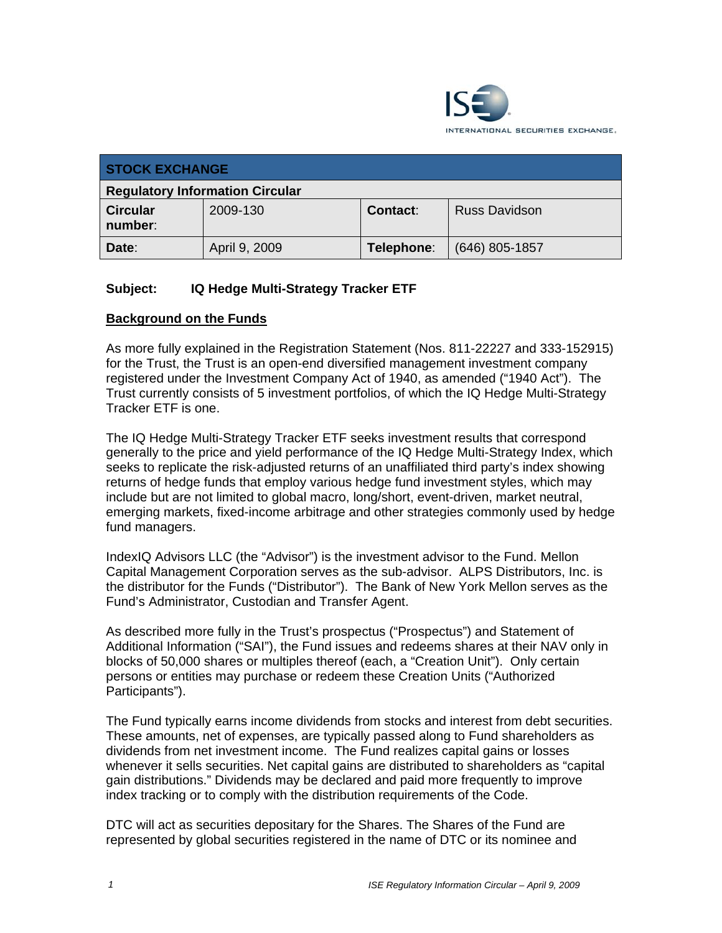

| <b>STOCK EXCHANGE</b>                  |               |            |                      |
|----------------------------------------|---------------|------------|----------------------|
| <b>Regulatory Information Circular</b> |               |            |                      |
| <b>Circular</b><br>number:             | 2009-130      | Contact:   | <b>Russ Davidson</b> |
| Date:                                  | April 9, 2009 | Telephone: | $(646)$ 805-1857     |

#### **Subject: IQ Hedge Multi-Strategy Tracker ETF**

#### **Background on the Funds**

As more fully explained in the Registration Statement (Nos. 811-22227 and 333-152915) for the Trust, the Trust is an open-end diversified management investment company registered under the Investment Company Act of 1940, as amended ("1940 Act"). The Trust currently consists of 5 investment portfolios, of which the IQ Hedge Multi-Strategy Tracker ETF is one.

The IQ Hedge Multi-Strategy Tracker ETF seeks investment results that correspond generally to the price and yield performance of the IQ Hedge Multi-Strategy Index, which seeks to replicate the risk-adjusted returns of an unaffiliated third party's index showing returns of hedge funds that employ various hedge fund investment styles, which may include but are not limited to global macro, long/short, event-driven, market neutral, emerging markets, fixed-income arbitrage and other strategies commonly used by hedge fund managers.

IndexIQ Advisors LLC (the "Advisor") is the investment advisor to the Fund. Mellon Capital Management Corporation serves as the sub-advisor. ALPS Distributors, Inc. is the distributor for the Funds ("Distributor"). The Bank of New York Mellon serves as the Fund's Administrator, Custodian and Transfer Agent.

As described more fully in the Trust's prospectus ("Prospectus") and Statement of Additional Information ("SAI"), the Fund issues and redeems shares at their NAV only in blocks of 50,000 shares or multiples thereof (each, a "Creation Unit"). Only certain persons or entities may purchase or redeem these Creation Units ("Authorized Participants").

The Fund typically earns income dividends from stocks and interest from debt securities. These amounts, net of expenses, are typically passed along to Fund shareholders as dividends from net investment income. The Fund realizes capital gains or losses whenever it sells securities. Net capital gains are distributed to shareholders as "capital gain distributions." Dividends may be declared and paid more frequently to improve index tracking or to comply with the distribution requirements of the Code.

DTC will act as securities depositary for the Shares. The Shares of the Fund are represented by global securities registered in the name of DTC or its nominee and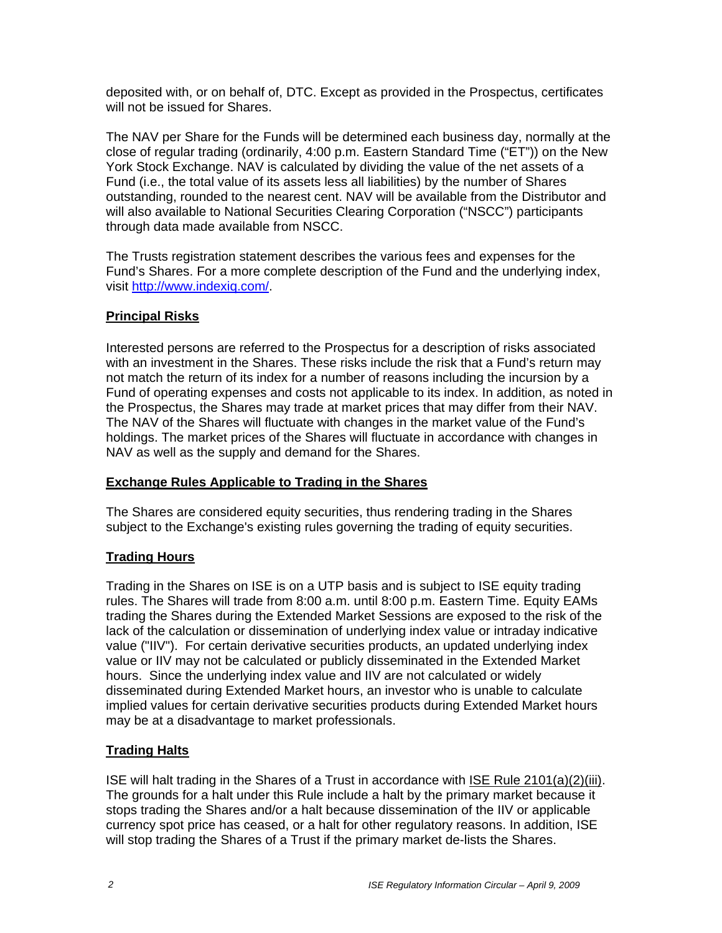deposited with, or on behalf of, DTC. Except as provided in the Prospectus, certificates will not be issued for Shares.

The NAV per Share for the Funds will be determined each business day, normally at the close of regular trading (ordinarily, 4:00 p.m. Eastern Standard Time ("ET")) on the New York Stock Exchange. NAV is calculated by dividing the value of the net assets of a Fund (i.e., the total value of its assets less all liabilities) by the number of Shares outstanding, rounded to the nearest cent. NAV will be available from the Distributor and will also available to National Securities Clearing Corporation ("NSCC") participants through data made available from NSCC.

The Trusts registration statement describes the various fees and expenses for the Fund's Shares. For a more complete description of the Fund and the underlying index, visit http://www.indexiq.com/.

#### **Principal Risks**

Interested persons are referred to the Prospectus for a description of risks associated with an investment in the Shares. These risks include the risk that a Fund's return may not match the return of its index for a number of reasons including the incursion by a Fund of operating expenses and costs not applicable to its index. In addition, as noted in the Prospectus, the Shares may trade at market prices that may differ from their NAV. The NAV of the Shares will fluctuate with changes in the market value of the Fund's holdings. The market prices of the Shares will fluctuate in accordance with changes in NAV as well as the supply and demand for the Shares.

#### **Exchange Rules Applicable to Trading in the Shares**

The Shares are considered equity securities, thus rendering trading in the Shares subject to the Exchange's existing rules governing the trading of equity securities.

## **Trading Hours**

Trading in the Shares on ISE is on a UTP basis and is subject to ISE equity trading rules. The Shares will trade from 8:00 a.m. until 8:00 p.m. Eastern Time. Equity EAMs trading the Shares during the Extended Market Sessions are exposed to the risk of the lack of the calculation or dissemination of underlying index value or intraday indicative value ("IIV"). For certain derivative securities products, an updated underlying index value or IIV may not be calculated or publicly disseminated in the Extended Market hours. Since the underlying index value and IIV are not calculated or widely disseminated during Extended Market hours, an investor who is unable to calculate implied values for certain derivative securities products during Extended Market hours may be at a disadvantage to market professionals.

#### **Trading Halts**

ISE will halt trading in the Shares of a Trust in accordance with ISE Rule 2101(a)(2)(iii). The grounds for a halt under this Rule include a halt by the primary market because it stops trading the Shares and/or a halt because dissemination of the IIV or applicable currency spot price has ceased, or a halt for other regulatory reasons. In addition, ISE will stop trading the Shares of a Trust if the primary market de-lists the Shares.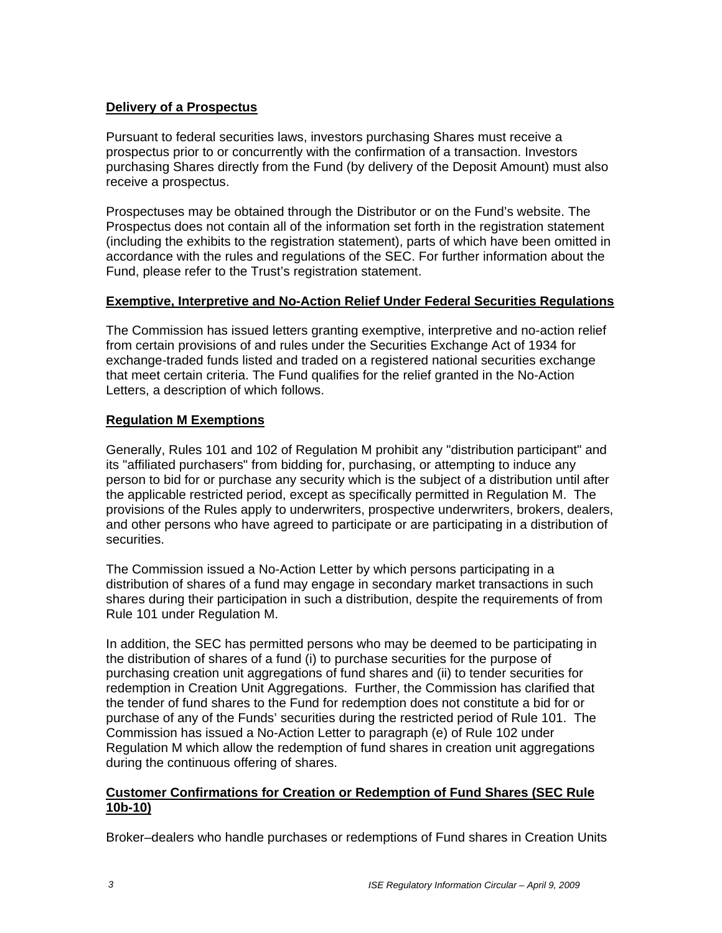#### **Delivery of a Prospectus**

Pursuant to federal securities laws, investors purchasing Shares must receive a prospectus prior to or concurrently with the confirmation of a transaction. Investors purchasing Shares directly from the Fund (by delivery of the Deposit Amount) must also receive a prospectus.

Prospectuses may be obtained through the Distributor or on the Fund's website. The Prospectus does not contain all of the information set forth in the registration statement (including the exhibits to the registration statement), parts of which have been omitted in accordance with the rules and regulations of the SEC. For further information about the Fund, please refer to the Trust's registration statement.

#### **Exemptive, Interpretive and No-Action Relief Under Federal Securities Regulations**

The Commission has issued letters granting exemptive, interpretive and no-action relief from certain provisions of and rules under the Securities Exchange Act of 1934 for exchange-traded funds listed and traded on a registered national securities exchange that meet certain criteria. The Fund qualifies for the relief granted in the No-Action Letters, a description of which follows.

## **Regulation M Exemptions**

Generally, Rules 101 and 102 of Regulation M prohibit any "distribution participant" and its "affiliated purchasers" from bidding for, purchasing, or attempting to induce any person to bid for or purchase any security which is the subject of a distribution until after the applicable restricted period, except as specifically permitted in Regulation M. The provisions of the Rules apply to underwriters, prospective underwriters, brokers, dealers, and other persons who have agreed to participate or are participating in a distribution of securities.

The Commission issued a No-Action Letter by which persons participating in a distribution of shares of a fund may engage in secondary market transactions in such shares during their participation in such a distribution, despite the requirements of from Rule 101 under Regulation M.

In addition, the SEC has permitted persons who may be deemed to be participating in the distribution of shares of a fund (i) to purchase securities for the purpose of purchasing creation unit aggregations of fund shares and (ii) to tender securities for redemption in Creation Unit Aggregations. Further, the Commission has clarified that the tender of fund shares to the Fund for redemption does not constitute a bid for or purchase of any of the Funds' securities during the restricted period of Rule 101. The Commission has issued a No-Action Letter to paragraph (e) of Rule 102 under Regulation M which allow the redemption of fund shares in creation unit aggregations during the continuous offering of shares.

#### **Customer Confirmations for Creation or Redemption of Fund Shares (SEC Rule 10b-10)**

Broker–dealers who handle purchases or redemptions of Fund shares in Creation Units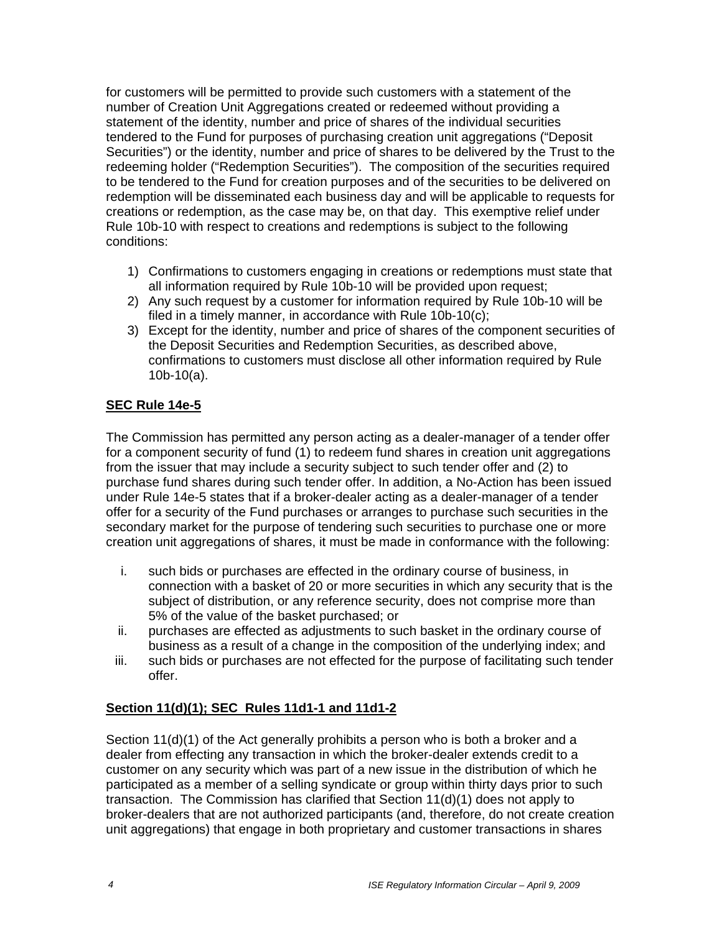for customers will be permitted to provide such customers with a statement of the number of Creation Unit Aggregations created or redeemed without providing a statement of the identity, number and price of shares of the individual securities tendered to the Fund for purposes of purchasing creation unit aggregations ("Deposit Securities") or the identity, number and price of shares to be delivered by the Trust to the redeeming holder ("Redemption Securities"). The composition of the securities required to be tendered to the Fund for creation purposes and of the securities to be delivered on redemption will be disseminated each business day and will be applicable to requests for creations or redemption, as the case may be, on that day. This exemptive relief under Rule 10b-10 with respect to creations and redemptions is subject to the following conditions:

- 1) Confirmations to customers engaging in creations or redemptions must state that all information required by Rule 10b-10 will be provided upon request;
- 2) Any such request by a customer for information required by Rule 10b-10 will be filed in a timely manner, in accordance with Rule 10b-10(c);
- 3) Except for the identity, number and price of shares of the component securities of the Deposit Securities and Redemption Securities, as described above, confirmations to customers must disclose all other information required by Rule 10b-10(a).

## **SEC Rule 14e-5**

The Commission has permitted any person acting as a dealer-manager of a tender offer for a component security of fund (1) to redeem fund shares in creation unit aggregations from the issuer that may include a security subject to such tender offer and (2) to purchase fund shares during such tender offer. In addition, a No-Action has been issued under Rule 14e-5 states that if a broker-dealer acting as a dealer-manager of a tender offer for a security of the Fund purchases or arranges to purchase such securities in the secondary market for the purpose of tendering such securities to purchase one or more creation unit aggregations of shares, it must be made in conformance with the following:

- i. such bids or purchases are effected in the ordinary course of business, in connection with a basket of 20 or more securities in which any security that is the subject of distribution, or any reference security, does not comprise more than 5% of the value of the basket purchased; or
- ii. purchases are effected as adjustments to such basket in the ordinary course of business as a result of a change in the composition of the underlying index; and
- iii. such bids or purchases are not effected for the purpose of facilitating such tender offer.

## **Section 11(d)(1); SEC Rules 11d1-1 and 11d1-2**

Section 11(d)(1) of the Act generally prohibits a person who is both a broker and a dealer from effecting any transaction in which the broker-dealer extends credit to a customer on any security which was part of a new issue in the distribution of which he participated as a member of a selling syndicate or group within thirty days prior to such transaction. The Commission has clarified that Section 11(d)(1) does not apply to broker-dealers that are not authorized participants (and, therefore, do not create creation unit aggregations) that engage in both proprietary and customer transactions in shares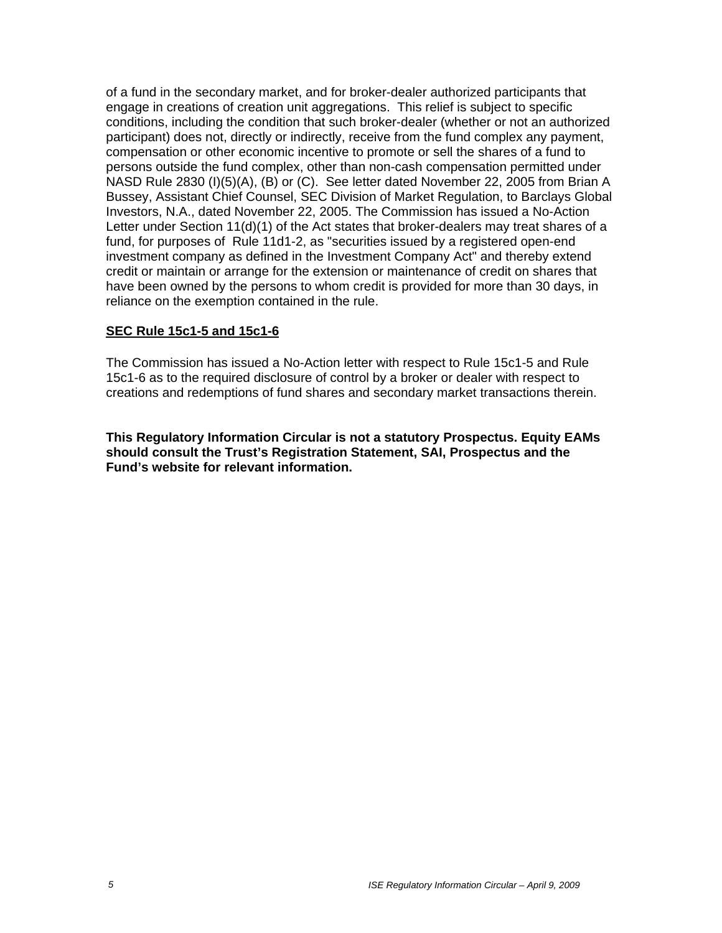of a fund in the secondary market, and for broker-dealer authorized participants that engage in creations of creation unit aggregations. This relief is subject to specific conditions, including the condition that such broker-dealer (whether or not an authorized participant) does not, directly or indirectly, receive from the fund complex any payment, compensation or other economic incentive to promote or sell the shares of a fund to persons outside the fund complex, other than non-cash compensation permitted under NASD Rule 2830 (I)(5)(A), (B) or (C). See letter dated November 22, 2005 from Brian A Bussey, Assistant Chief Counsel, SEC Division of Market Regulation, to Barclays Global Investors, N.A., dated November 22, 2005. The Commission has issued a No-Action Letter under Section 11(d)(1) of the Act states that broker-dealers may treat shares of a fund, for purposes of Rule 11d1-2, as "securities issued by a registered open-end investment company as defined in the Investment Company Act" and thereby extend credit or maintain or arrange for the extension or maintenance of credit on shares that have been owned by the persons to whom credit is provided for more than 30 days, in reliance on the exemption contained in the rule.

#### **SEC Rule 15c1-5 and 15c1-6**

The Commission has issued a No-Action letter with respect to Rule 15c1-5 and Rule 15c1-6 as to the required disclosure of control by a broker or dealer with respect to creations and redemptions of fund shares and secondary market transactions therein.

**This Regulatory Information Circular is not a statutory Prospectus. Equity EAMs should consult the Trust's Registration Statement, SAI, Prospectus and the Fund's website for relevant information.**